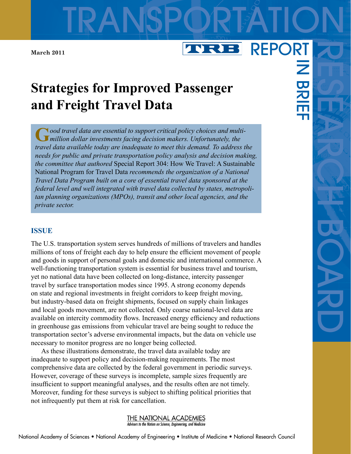**March 2011**

# **Strategies for Improved Passenger and Freight Travel Data**

TRANSPORTATION

NRJ B

**G***ood travel data are essential to support critical policy choices and multimillion dollar investments facing decision makers. Unfortunately, the travel data available today are inadequate to meet this demand. To address the needs for public and private transportation policy analysis and decision making, the committee that authored* Special Report 304: How We Travel: A Sustainable National Program for Travel Data *recommends the organization of a National Travel Data Program built on a core of essential travel data sponsored at the federal level and well integrated with travel data collected by states, metropolitan planning organizations (MPOs), transit and other local agencies, and the private sector.*

#### **ISSUE**

The U.S. transportation system serves hundreds of millions of travelers and handles millions of tons of freight each day to help ensure the efficient movement of people and goods in support of personal goals and domestic and international commerce. A well-functioning transportation system is essential for business travel and tourism, yet no national data have been collected on long-distance, intercity passenger travel by surface transportation modes since 1995. A strong economy depends on state and regional investments in freight corridors to keep freight moving, but industry-based data on freight shipments, focused on supply chain linkages and local goods movement, are not collected. Only coarse national-level data are available on intercity commodity flows. Increased energy efficiency and reductions in greenhouse gas emissions from vehicular travel are being sought to reduce the transportation sector's adverse environmental impacts, but the data on vehicle use necessary to monitor progress are no longer being collected.

As these illustrations demonstrate, the travel data available today are inadequate to support policy and decision-making requirements. The most comprehensive data are collected by the federal government in periodic surveys. However, coverage of these surveys is incomplete, sample sizes frequently are insufficient to support meaningful analyses, and the results often are not timely. Moreover, funding for these surveys is subject to shifting political priorities that not infrequently put them at risk for cancellation.



REPORT

 $\overline{z}$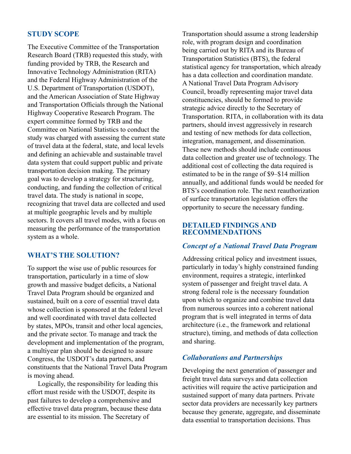# **STUDY SCOPE**

The Executive Committee of the Transportation Research Board (TRB) requested this study, with funding provided by TRB, the Research and Innovative Technology Administration (RITA) and the Federal Highway Administration of the U.S. Department of Transportation (USDOT), and the American Association of State Highway and Transportation Officials through the National Highway Cooperative Research Program. The expert committee formed by TRB and the Committee on National Statistics to conduct the study was charged with assessing the current state of travel data at the federal, state, and local levels and defining an achievable and sustainable travel data system that could support public and private transportation decision making. The primary goal was to develop a strategy for structuring, conducting, and funding the collection of critical travel data. The study is national in scope, recognizing that travel data are collected and used at multiple geographic levels and by multiple sectors. It covers all travel modes, with a focus on measuring the performance of the transportation system as a whole.

# **WHAT'S THE SOLUTION?**

To support the wise use of public resources for transportation, particularly in a time of slow growth and massive budget deficits, a National Travel Data Program should be organized and sustained, built on a core of essential travel data whose collection is sponsored at the federal level and well coordinated with travel data collected by states, MPOs, transit and other local agencies, and the private sector. To manage and track the development and implementation of the program, a multiyear plan should be designed to assure Congress, the USDOT's data partners, and constituents that the National Travel Data Program is moving ahead.

Logically, the responsibility for leading this effort must reside with the USDOT, despite its past failures to develop a comprehensive and effective travel data program, because these data are essential to its mission. The Secretary of

Transportation should assume a strong leadership role, with program design and coordination being carried out by RITA and its Bureau of Transportation Statistics (BTS), the federal statistical agency for transportation, which already has a data collection and coordination mandate. A National Travel Data Program Advisory Council, broadly representing major travel data constituencies, should be formed to provide strategic advice directly to the Secretary of Transportation. RITA, in collaboration with its data partners, should invest aggressively in research and testing of new methods for data collection, integration, management, and dissemination. These new methods should include continuous data collection and greater use of technology. The additional cost of collecting the data required is estimated to be in the range of \$9–\$14 million annually, and additional funds would be needed for BTS's coordination role. The next reauthorization of surface transportation legislation offers the opportunity to secure the necessary funding.

## **DETAILED FINDINGS AND RECOMMENDATIONS**

## *Concept of a National Travel Data Program*

Addressing critical policy and investment issues, particularly in today's highly constrained funding environment, requires a strategic, interlinked system of passenger and freight travel data. A strong federal role is the necessary foundation upon which to organize and combine travel data from numerous sources into a coherent national program that is well integrated in terms of data architecture (i.e., the framework and relational structure), timing, and methods of data collection and sharing.

# *Collaborations and Partnerships*

Developing the next generation of passenger and freight travel data surveys and data collection activities will require the active participation and sustained support of many data partners. Private sector data providers are necessarily key partners because they generate, aggregate, and disseminate data essential to transportation decisions. Thus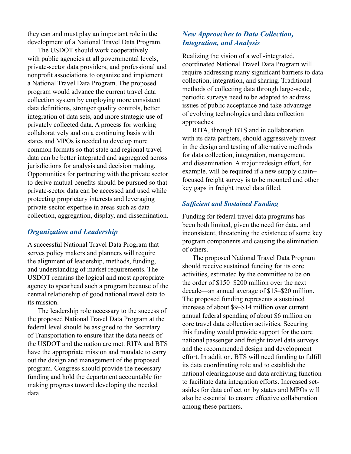they can and must play an important role in the development of a National Travel Data Program.

The USDOT should work cooperatively with public agencies at all governmental levels, private-sector data providers, and professional and nonprofit associations to organize and implement a National Travel Data Program. The proposed program would advance the current travel data collection system by employing more consistent data definitions, stronger quality controls, better integration of data sets, and more strategic use of privately collected data. A process for working collaboratively and on a continuing basis with states and MPOs is needed to develop more common formats so that state and regional travel data can be better integrated and aggregated across jurisdictions for analysis and decision making. Opportunities for partnering with the private sector to derive mutual benefits should be pursued so that private-sector data can be accessed and used while protecting proprietary interests and leveraging private-sector expertise in areas such as data collection, aggregation, display, and dissemination.

## *Organization and Leadership*

A successful National Travel Data Program that serves policy makers and planners will require the alignment of leadership, methods, funding, and understanding of market requirements. The USDOT remains the logical and most appropriate agency to spearhead such a program because of the central relationship of good national travel data to its mission.

The leadership role necessary to the success of the proposed National Travel Data Program at the federal level should be assigned to the Secretary of Transportation to ensure that the data needs of the USDOT and the nation are met. RITA and BTS have the appropriate mission and mandate to carry out the design and management of the proposed program. Congress should provide the necessary funding and hold the department accountable for making progress toward developing the needed data.

## *New Approaches to Data Collection, Integration, and Analysis*

Realizing the vision of a well-integrated, coordinated National Travel Data Program will require addressing many significant barriers to data collection, integration, and sharing. Traditional methods of collecting data through large-scale, periodic surveys need to be adapted to address issues of public acceptance and take advantage of evolving technologies and data collection approaches.

RITA, through BTS and in collaboration with its data partners, should aggressively invest in the design and testing of alternative methods for data collection, integration, management, and dissemination. A major redesign effort, for example, will be required if a new supply chainfocused freight survey is to be mounted and other key gaps in freight travel data filled.

#### *Sufficient and Sustained Funding*

Funding for federal travel data programs has been both limited, given the need for data, and inconsistent, threatening the existence of some key program components and causing the elimination of others.

The proposed National Travel Data Program should receive sustained funding for its core activities, estimated by the committee to be on the order of \$150–\$200 million over the next decade—an annual average of \$15–\$20 million. The proposed funding represents a sustained increase of about \$9–\$14 million over current annual federal spending of about \$6 million on core travel data collection activities. Securing this funding would provide support for the core national passenger and freight travel data surveys and the recommended design and development effort. In addition, BTS will need funding to fulfill its data coordinating role and to establish the national clearinghouse and data archiving function to facilitate data integration efforts. Increased setasides for data collection by states and MPOs will also be essential to ensure effective collaboration among these partners.